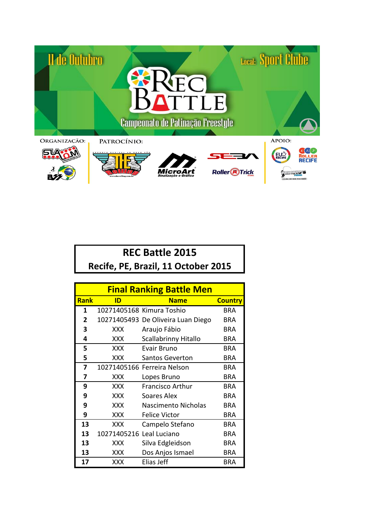

| <b>REC Battle 2015</b>              |  |  |  |
|-------------------------------------|--|--|--|
| Recife, PE, Brazil, 11 October 2015 |  |  |  |

| <b>Final Ranking Battle Men</b> |                          |                                    |                |
|---------------------------------|--------------------------|------------------------------------|----------------|
| <b>Rank</b>                     | <b>Name</b><br>ID        |                                    | <b>Country</b> |
| 1                               |                          | 10271405168 Kimura Toshio          | BRA            |
| $\mathbf{2}$                    |                          | 10271405493 De Oliveira Luan Diego | BRA            |
| 3                               | XXX                      | Araujo Fábio                       | BRA            |
| 4                               | XXX.                     | Scallabrinny Hitallo               | BRA            |
| 5                               | XXX                      | Evair Bruno                        | BRA            |
| 5                               | <b>XXX</b>               | <b>Santos Geverton</b>             | BRA            |
| 7                               |                          | 10271405166 Ferreira Nelson        | <b>BRA</b>     |
| 7                               | <b>XXX</b>               | Lopes Bruno                        | BRA            |
| 9                               | XXX                      | <b>Francisco Arthur</b>            | BRA            |
| 9                               | XXX                      | Soares Alex                        | BRA            |
| 9                               | XXX                      | Nascimento Nicholas                | BRA            |
| 9                               | <b>XXX</b>               | <b>Felice Victor</b>               | <b>BRA</b>     |
| 13                              | XXX                      | Campelo Stefano                    | BRA            |
| 13                              | 10271405216 Leal Luciano |                                    | BRA            |
| 13                              | XXX                      | Silva Edgleidson                   | <b>BRA</b>     |
| 13                              | XXX                      | Dos Anjos Ismael                   | <b>BRA</b>     |
| 17                              | XXX                      | Elias Jeff                         | BRA            |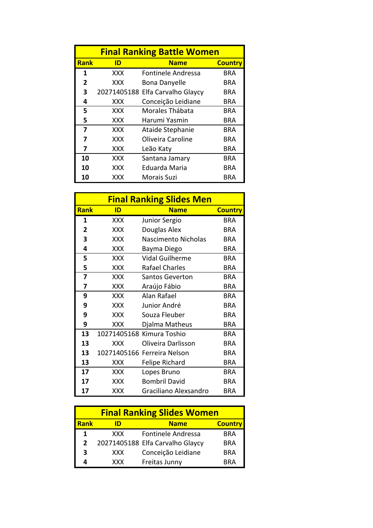| <b>Final Ranking Battle Women</b> |                                     |                                  |     |  |  |
|-----------------------------------|-------------------------------------|----------------------------------|-----|--|--|
| <b>Rank</b>                       | ID<br><b>Name</b><br><b>Country</b> |                                  |     |  |  |
| 1                                 | XXX                                 | Fontinele Andressa               | BRA |  |  |
| 2                                 | XXX                                 | <b>Bona Danyelle</b>             | BRA |  |  |
| 3                                 |                                     | 20271405188 Elfa Carvalho Glaycy | BRA |  |  |
| 4                                 | <b>XXX</b>                          | Conceição Leidiane               | BRA |  |  |
| 5                                 | XXX                                 | Morales Thábata                  | BRA |  |  |
| 5                                 | XXX                                 | Harumi Yasmin                    | BRA |  |  |
| 7                                 | <b>XXX</b>                          | Ataide Stephanie                 | BRA |  |  |
| 7                                 | xxx                                 | Oliveira Caroline                | BRA |  |  |
| 7                                 | XXX                                 | Leão Katy                        | BRA |  |  |
| 10                                | XXX                                 | Santana Jamary                   | BRA |  |  |
| 10                                | xxx                                 | Eduarda Maria                    | BRA |  |  |
| 10                                | XXX                                 | <b>Morais Suzi</b>               | BRA |  |  |

| <b>Final Ranking Slides Men</b> |            |                             |                |
|---------------------------------|------------|-----------------------------|----------------|
| <b>Rank</b>                     | ID         | <b>Name</b>                 | <b>Country</b> |
| 1                               | <b>XXX</b> | Junior Sergio               | BRA            |
| 2                               | XXX        | Douglas Alex                | <b>BRA</b>     |
| 3                               | XXX        | Nascimento Nicholas         | <b>BRA</b>     |
| 4                               | xxx        | Bayma Diego                 | <b>BRA</b>     |
| 5                               | <b>XXX</b> | <b>Vidal Guilherme</b>      | <b>BRA</b>     |
| 5                               | XXX        | <b>Rafael Charles</b>       | BRA            |
| 7                               | <b>XXX</b> | <b>Santos Geverton</b>      | <b>BRA</b>     |
| 7                               | XXX        | Araújo Fábio                | <b>BRA</b>     |
| 9                               | <b>XXX</b> | Alan Rafael                 | <b>BRA</b>     |
| 9                               | XXX        | Junior André                | <b>BRA</b>     |
| 9                               | XXX        | Souza Fleuber               | <b>BRA</b>     |
| 9                               | xxx        | Djalma Matheus              | BRA            |
| 13                              |            | 10271405168 Kimura Toshio   | <b>BRA</b>     |
| 13                              | XXX        | Oliveira Darlisson          | <b>BRA</b>     |
| 13                              |            | 10271405166 Ferreira Nelson | <b>BRA</b>     |
| 13                              | XXX        | Felipe Richard              | BRA            |
| 17                              | <b>XXX</b> | Lopes Bruno                 | <b>BRA</b>     |
| 17                              | XXX        | <b>Bombril David</b>        | BRA            |
| 17                              | XXX        | Graciliano Alexsandro       | BRA            |

| <b>Final Ranking Slides Women</b> |            |                                  |                |
|-----------------------------------|------------|----------------------------------|----------------|
| <b>Rank</b>                       | מו         | <b>Name</b>                      | <b>Country</b> |
| 1                                 | <b>XXX</b> | <b>Fontinele Andressa</b>        | <b>BRA</b>     |
| $\mathfrak z$                     |            | 20271405188 Elfa Carvalho Glaycy | <b>BRA</b>     |
| 3                                 | <b>XXX</b> | Conceição Leidiane               | <b>BRA</b>     |
|                                   | <b>XXX</b> | Freitas Junny                    | RRA            |